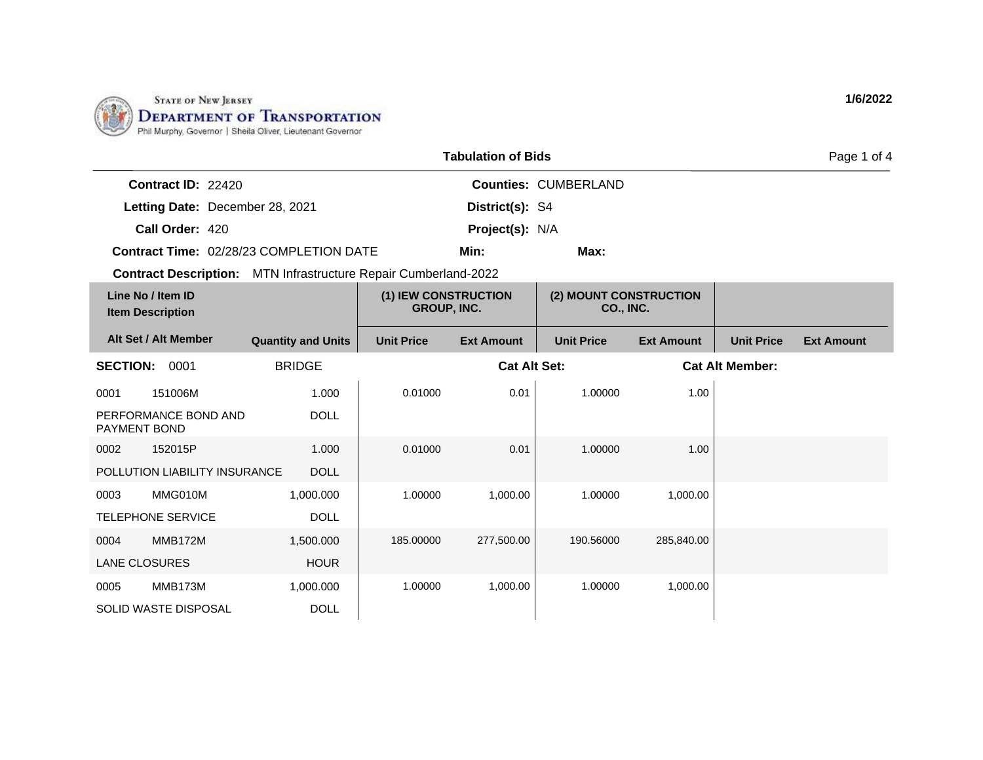

|                                              |                                                                        |                                            | <b>Tabulation of Bids</b> |                                            |                   |                        | Page 1 of 4       |
|----------------------------------------------|------------------------------------------------------------------------|--------------------------------------------|---------------------------|--------------------------------------------|-------------------|------------------------|-------------------|
| Contract ID: 22420                           |                                                                        |                                            |                           | <b>Counties: CUMBERLAND</b>                |                   |                        |                   |
| Letting Date: December 28, 2021              |                                                                        |                                            | District(s): S4           |                                            |                   |                        |                   |
| Call Order: 420                              |                                                                        |                                            | Project(s): N/A           |                                            |                   |                        |                   |
|                                              | Contract Time: 02/28/23 COMPLETION DATE                                |                                            | Min:                      | Max:                                       |                   |                        |                   |
|                                              | <b>Contract Description:</b> MTN Infrastructure Repair Cumberland-2022 |                                            |                           |                                            |                   |                        |                   |
| Line No / Item ID<br><b>Item Description</b> |                                                                        | (1) IEW CONSTRUCTION<br><b>GROUP, INC.</b> |                           | (2) MOUNT CONSTRUCTION<br><b>CO., INC.</b> |                   |                        |                   |
| Alt Set / Alt Member                         | <b>Quantity and Units</b>                                              | <b>Unit Price</b>                          | <b>Ext Amount</b>         | <b>Unit Price</b>                          | <b>Ext Amount</b> | <b>Unit Price</b>      | <b>Ext Amount</b> |
| <b>SECTION:</b><br>0001                      | <b>BRIDGE</b>                                                          |                                            | <b>Cat Alt Set:</b>       |                                            |                   | <b>Cat Alt Member:</b> |                   |
| 151006M<br>0001                              | 1.000                                                                  | 0.01000                                    | 0.01                      | 1.00000                                    | 1.00              |                        |                   |
| PERFORMANCE BOND AND<br>PAYMENT BOND         | <b>DOLL</b>                                                            |                                            |                           |                                            |                   |                        |                   |
| 152015P<br>0002                              | 1.000                                                                  | 0.01000                                    | 0.01                      | 1.00000                                    | 1.00              |                        |                   |
| POLLUTION LIABILITY INSURANCE                | <b>DOLL</b>                                                            |                                            |                           |                                            |                   |                        |                   |
| MMG010M<br>0003                              | 1,000.000                                                              | 1.00000                                    | 1,000.00                  | 1.00000                                    | 1,000.00          |                        |                   |
| <b>TELEPHONE SERVICE</b>                     | <b>DOLL</b>                                                            |                                            |                           |                                            |                   |                        |                   |
| MMB172M<br>0004                              | 1,500.000                                                              | 185.00000                                  | 277,500.00                | 190.56000                                  | 285,840.00        |                        |                   |
| <b>LANE CLOSURES</b>                         | <b>HOUR</b>                                                            |                                            |                           |                                            |                   |                        |                   |
| MMB173M<br>0005                              | 1,000.000                                                              | 1.00000                                    | 1,000.00                  | 1.00000                                    | 1,000.00          |                        |                   |
| SOLID WASTE DISPOSAL                         | <b>DOLL</b>                                                            |                                            |                           |                                            |                   |                        |                   |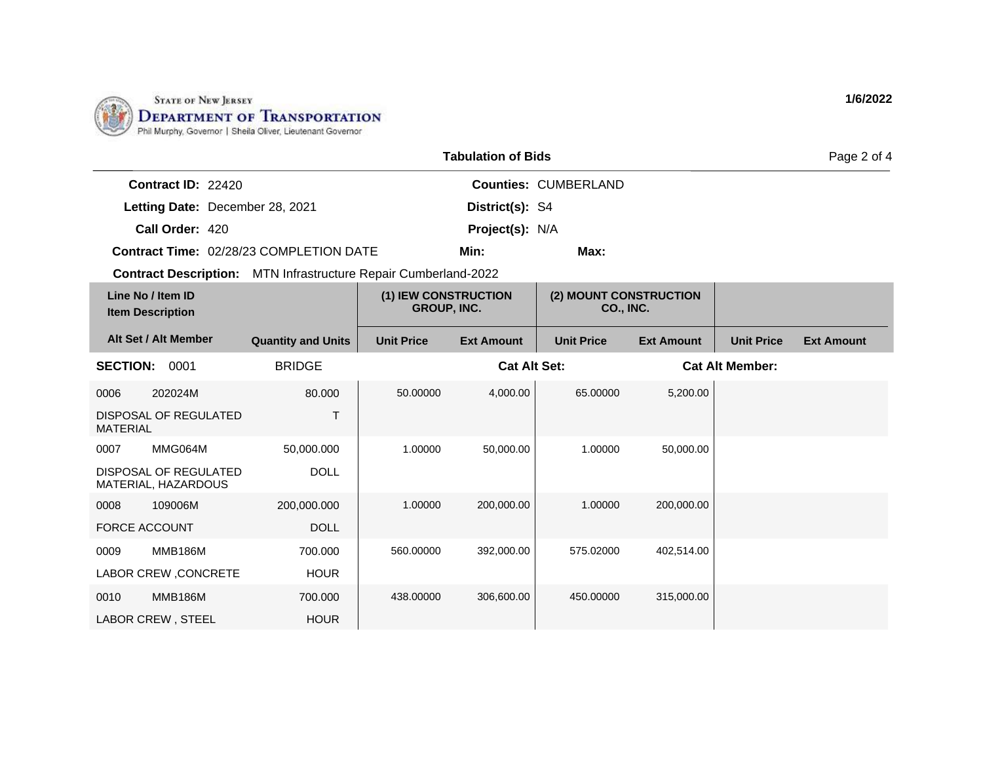

| <b>Tabulation of Bids</b>                                              |                           |                                            |                     |                                     |                   |                        | Page 2 of 4       |
|------------------------------------------------------------------------|---------------------------|--------------------------------------------|---------------------|-------------------------------------|-------------------|------------------------|-------------------|
| Contract ID: 22420                                                     |                           |                                            |                     | <b>Counties: CUMBERLAND</b>         |                   |                        |                   |
| Letting Date: December 28, 2021                                        |                           |                                            | District(s): S4     |                                     |                   |                        |                   |
| Call Order: 420                                                        |                           |                                            | Project(s): N/A     |                                     |                   |                        |                   |
| <b>Contract Time: 02/28/23 COMPLETION DATE</b>                         |                           |                                            | Min:                | Max:                                |                   |                        |                   |
| <b>Contract Description:</b> MTN Infrastructure Repair Cumberland-2022 |                           |                                            |                     |                                     |                   |                        |                   |
| Line No / Item ID<br><b>Item Description</b>                           |                           | (1) IEW CONSTRUCTION<br><b>GROUP, INC.</b> |                     | (2) MOUNT CONSTRUCTION<br>CO., INC. |                   |                        |                   |
| Alt Set / Alt Member                                                   | <b>Quantity and Units</b> | <b>Unit Price</b>                          | <b>Ext Amount</b>   | <b>Unit Price</b>                   | <b>Ext Amount</b> | <b>Unit Price</b>      | <b>Ext Amount</b> |
| <b>SECTION:</b><br>0001                                                | <b>BRIDGE</b>             |                                            | <b>Cat Alt Set:</b> |                                     |                   | <b>Cat Alt Member:</b> |                   |
| 0006<br>202024M                                                        | 80.000                    | 50.00000                                   | 4,000.00            | 65.00000                            | 5,200.00          |                        |                   |
| DISPOSAL OF REGULATED<br><b>MATERIAL</b>                               | T                         |                                            |                     |                                     |                   |                        |                   |
| MMG064M<br>0007                                                        | 50,000.000                | 1.00000                                    | 50,000.00           | 1.00000                             | 50,000.00         |                        |                   |
| DISPOSAL OF REGULATED<br>MATERIAL, HAZARDOUS                           | <b>DOLL</b>               |                                            |                     |                                     |                   |                        |                   |
| 109006M<br>0008                                                        | 200,000.000               | 1.00000                                    | 200,000.00          | 1.00000                             | 200,000.00        |                        |                   |
| <b>FORCE ACCOUNT</b>                                                   | <b>DOLL</b>               |                                            |                     |                                     |                   |                        |                   |
| MMB186M<br>0009                                                        | 700.000                   | 560.00000                                  | 392,000.00          | 575.02000                           | 402,514.00        |                        |                   |
| LABOR CREW, CONCRETE                                                   | <b>HOUR</b>               |                                            |                     |                                     |                   |                        |                   |
| <b>MMB186M</b><br>0010                                                 | 700.000                   | 438.00000                                  | 306,600.00          | 450.00000                           | 315,000.00        |                        |                   |
| LABOR CREW, STEEL                                                      | <b>HOUR</b>               |                                            |                     |                                     |                   |                        |                   |

**1/6/2022**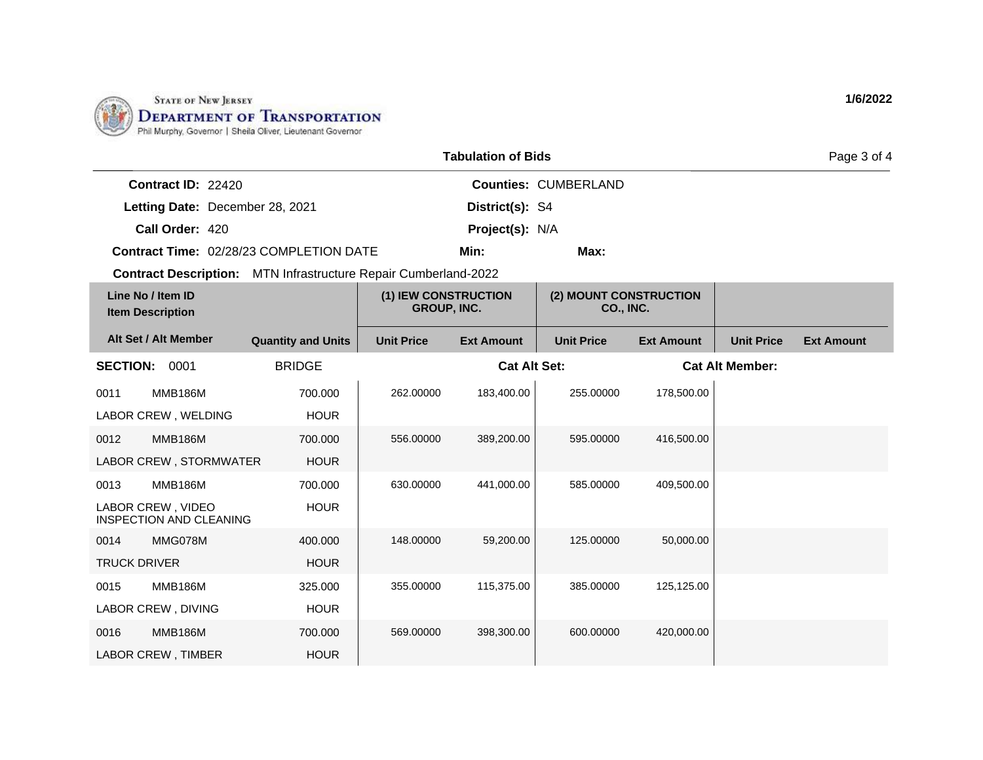

| <b>Tabulation of Bids</b>                                              |                           |                                            |                     |                                     |                   |                        | Page 3 of 4       |
|------------------------------------------------------------------------|---------------------------|--------------------------------------------|---------------------|-------------------------------------|-------------------|------------------------|-------------------|
| Contract ID: 22420                                                     |                           |                                            |                     | <b>Counties: CUMBERLAND</b>         |                   |                        |                   |
| Letting Date: December 28, 2021                                        |                           |                                            | District(s): S4     |                                     |                   |                        |                   |
| Call Order: 420                                                        |                           |                                            | Project(s): N/A     |                                     |                   |                        |                   |
| <b>Contract Time: 02/28/23 COMPLETION DATE</b>                         |                           |                                            | Min:                | Max:                                |                   |                        |                   |
| <b>Contract Description:</b> MTN Infrastructure Repair Cumberland-2022 |                           |                                            |                     |                                     |                   |                        |                   |
| Line No / Item ID<br><b>Item Description</b>                           |                           | (1) IEW CONSTRUCTION<br><b>GROUP, INC.</b> |                     | (2) MOUNT CONSTRUCTION<br>CO., INC. |                   |                        |                   |
| Alt Set / Alt Member                                                   | <b>Quantity and Units</b> | <b>Unit Price</b>                          | <b>Ext Amount</b>   | <b>Unit Price</b>                   | <b>Ext Amount</b> | <b>Unit Price</b>      | <b>Ext Amount</b> |
| <b>SECTION: 0001</b>                                                   | <b>BRIDGE</b>             |                                            | <b>Cat Alt Set:</b> |                                     |                   | <b>Cat Alt Member:</b> |                   |
| <b>MMB186M</b><br>0011                                                 | 700.000                   | 262.00000                                  | 183,400.00          | 255.00000                           | 178,500.00        |                        |                   |
| LABOR CREW, WELDING                                                    | <b>HOUR</b>               |                                            |                     |                                     |                   |                        |                   |
| <b>MMB186M</b><br>0012                                                 | 700.000                   | 556.00000                                  | 389,200.00          | 595.00000                           | 416,500.00        |                        |                   |
| LABOR CREW, STORMWATER                                                 | <b>HOUR</b>               |                                            |                     |                                     |                   |                        |                   |
| <b>MMB186M</b><br>0013                                                 | 700.000                   | 630.00000                                  | 441,000.00          | 585.00000                           | 409,500.00        |                        |                   |
| LABOR CREW, VIDEO<br><b>INSPECTION AND CLEANING</b>                    | <b>HOUR</b>               |                                            |                     |                                     |                   |                        |                   |
| MMG078M<br>0014                                                        | 400.000                   | 148.00000                                  | 59,200.00           | 125.00000                           | 50.000.00         |                        |                   |
| <b>TRUCK DRIVER</b>                                                    | <b>HOUR</b>               |                                            |                     |                                     |                   |                        |                   |
| <b>MMB186M</b><br>0015                                                 | 325.000                   | 355.00000                                  | 115,375.00          | 385.00000                           | 125,125.00        |                        |                   |
| LABOR CREW, DIVING                                                     | <b>HOUR</b>               |                                            |                     |                                     |                   |                        |                   |
| <b>MMB186M</b><br>0016                                                 | 700.000                   | 569.00000                                  | 398,300.00          | 600.00000                           | 420,000.00        |                        |                   |
| <b>LABOR CREW, TIMBER</b>                                              | <b>HOUR</b>               |                                            |                     |                                     |                   |                        |                   |

**1/6/2022**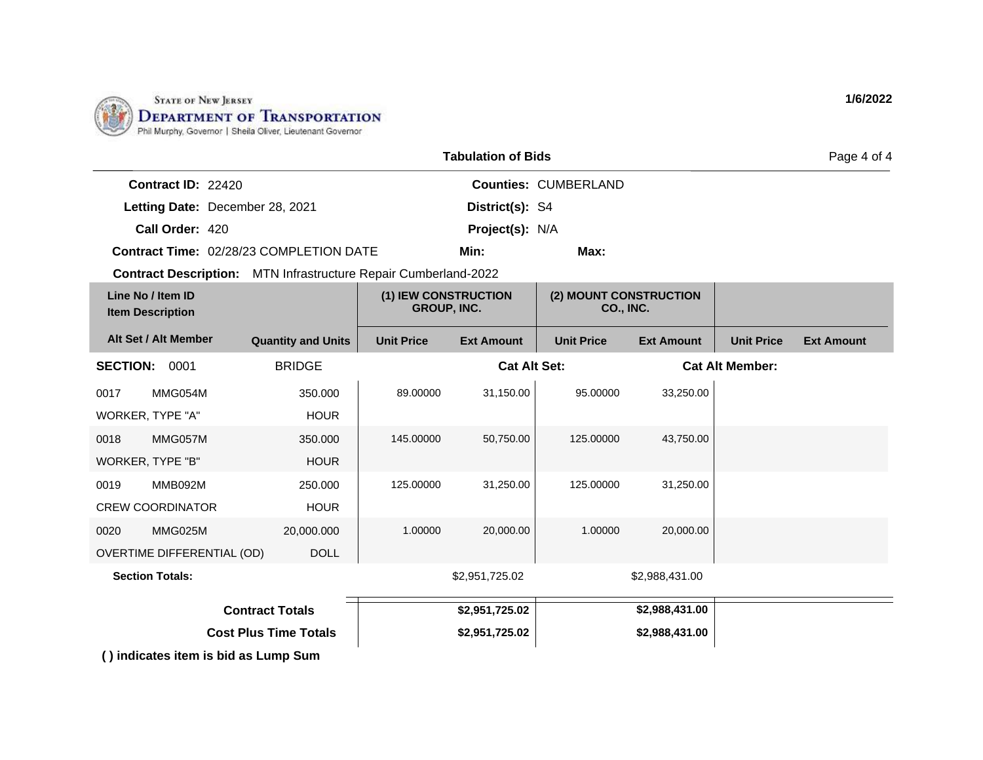

| <b>Tabulation of Bids</b> |                                              |                                                                        |                                            |                     |                                            |                   | Page 4 of 4            |                   |
|---------------------------|----------------------------------------------|------------------------------------------------------------------------|--------------------------------------------|---------------------|--------------------------------------------|-------------------|------------------------|-------------------|
|                           | Contract ID: 22420                           |                                                                        |                                            |                     | <b>Counties: CUMBERLAND</b>                |                   |                        |                   |
|                           | Letting Date: December 28, 2021              |                                                                        |                                            | District(s): S4     |                                            |                   |                        |                   |
|                           | Call Order: 420                              |                                                                        |                                            | Project(s): N/A     |                                            |                   |                        |                   |
|                           |                                              | <b>Contract Time: 02/28/23 COMPLETION DATE</b>                         |                                            | Min:                | Max:                                       |                   |                        |                   |
|                           |                                              | <b>Contract Description:</b> MTN Infrastructure Repair Cumberland-2022 |                                            |                     |                                            |                   |                        |                   |
|                           | Line No / Item ID<br><b>Item Description</b> |                                                                        | (1) IEW CONSTRUCTION<br><b>GROUP, INC.</b> |                     | (2) MOUNT CONSTRUCTION<br><b>CO., INC.</b> |                   |                        |                   |
|                           | Alt Set / Alt Member                         | <b>Quantity and Units</b>                                              | <b>Unit Price</b>                          | <b>Ext Amount</b>   | <b>Unit Price</b>                          | <b>Ext Amount</b> | <b>Unit Price</b>      | <b>Ext Amount</b> |
| <b>SECTION:</b>           | 0001                                         | <b>BRIDGE</b>                                                          |                                            | <b>Cat Alt Set:</b> |                                            |                   | <b>Cat Alt Member:</b> |                   |
| 0017                      | MMG054M                                      | 350.000                                                                | 89.00000                                   | 31,150.00           | 95.00000                                   | 33,250.00         |                        |                   |
| WORKER, TYPE "A"          |                                              | <b>HOUR</b>                                                            |                                            |                     |                                            |                   |                        |                   |
| 0018                      | MMG057M                                      | 350.000                                                                | 145.00000                                  | 50,750.00           | 125.00000                                  | 43,750.00         |                        |                   |
| <b>WORKER, TYPE "B"</b>   |                                              | <b>HOUR</b>                                                            |                                            |                     |                                            |                   |                        |                   |
| 0019                      | MMB092M                                      | 250.000                                                                | 125.00000                                  | 31,250.00           | 125.00000                                  | 31,250.00         |                        |                   |
|                           | <b>CREW COORDINATOR</b>                      | <b>HOUR</b>                                                            |                                            |                     |                                            |                   |                        |                   |
| 0020                      | MMG025M                                      | 20,000.000                                                             | 1.00000                                    | 20,000.00           | 1.00000                                    | 20,000.00         |                        |                   |
|                           | OVERTIME DIFFERENTIAL (OD)                   | <b>DOLL</b>                                                            |                                            |                     |                                            |                   |                        |                   |
|                           | <b>Section Totals:</b>                       |                                                                        |                                            | \$2,951,725.02      |                                            | \$2,988,431.00    |                        |                   |
| <b>Contract Totals</b>    |                                              |                                                                        |                                            | \$2,951,725.02      |                                            | \$2,988,431.00    |                        |                   |
|                           |                                              | <b>Cost Plus Time Totals</b>                                           |                                            | \$2,951,725.02      |                                            | \$2,988,431.00    |                        |                   |

**( ) indicates item is bid as Lump Sum**

**1/6/2022**